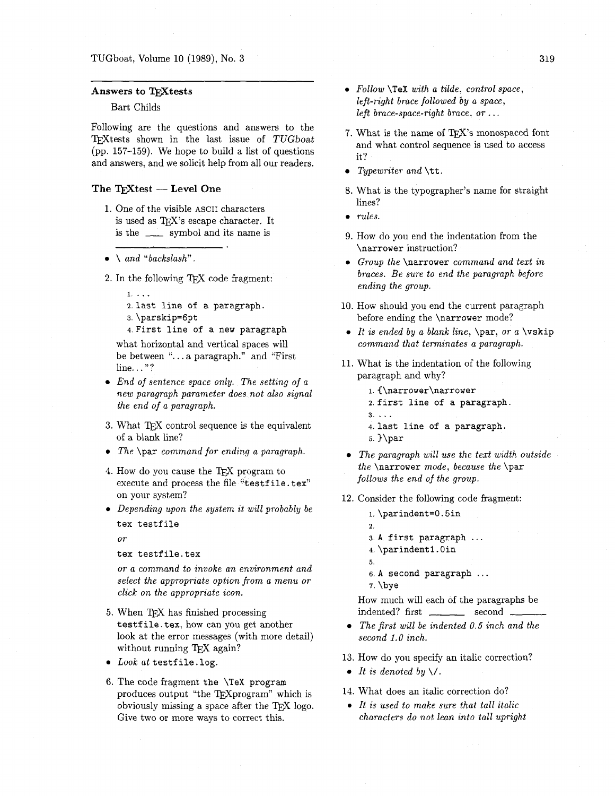## Answers to TEXtests

# Bart Childs

Following are the questions and answers to the TFXtests shown in the last issue of TUGboat (pp. 157-159). We hope to build a list of questions and answers, and we solicit help from all our readers.

## The  $T_{F}X$ test - Level One

- 1. One of the visible ASCII characters is used as TFX's escape character. It is the  $\frac{1}{\sqrt{2}}$  symbol and its name is
- $\bullet \quad \text{and} \quad \text{"backslash".}$
- 2. In the following  $TrX$  code fragment:
	- 1. ...
	- **2.** last line of a paragraph.
	- **3.** \parskip=6pt

4.First line of a new paragraph

what horizontal and vertical spaces will be between ". . . a paragraph." and "First line. . . "?

- *End of sentence space only. The setting of a new paragraph parameter does not also signal the end of a paragraph.*
- 3. What TFX control sequence is the equivalent of a blank line?
- *The* \par *command for ending a paragraph.*
- 4. How do you cause the  $T<sub>F</sub>X$  program to execute and process the file "testfile.tex" on your system?
- Depending upon the system it will probably be tex testfile

*or* 

tex testfile.tex

*or a command to invoke an environment and select the appropriate option from a menu or click on the appropriate icon.* 

- 5. When TFX has finished processing testfile. tex, how can you get another look at the error messages (with more detail) without running TEX again?
- Look at testfile. log.
- 6. The code fragment the \TeX program produces output "the T<sub>F</sub>Xprogram" which is obviously missing a space after the  $T<sub>F</sub>X$  logo. Give two or more ways to correct this.
- **0** *Follow* \TeX *with a tilde, control space, left-right brace followed by a space, left brace-space-right brace, or* . . .
- 7. What is the name of TFX's monospaced font and what control sequence is used to access it?
- *Typewriter and* \tt.
- 8. What is the typographer's name for straight lines?
- **0** *rules.*
- 9. How do you end the indentation from the \narrower instruction?
- **<sup>0</sup>***Group the* \narrower *command and text in braces. Be sure to end the paragraph before ending the group.*
- 10. How should you end the current paragraph before ending the \narrower mode?
- **0** *It is ended by a blank line,* \par, *or a* \vskip *command that terminates a paragraph.*
- 11. What is the indentation of the following paragraph and why?
	- **1.** C\narrower\narrower 2.first line of a paragraph. **3.** ... 4. last line of a paragraph.
	- 5.  $\bar{b}$
- *The paragraph will use the text width outside the* \narrower *mode, because the* \par *follows the end of the group.*
- 12. Consider the following code fragment:
	- **1.** \parindent=O. 5in 2.
	- **3. A** first paragraph . . .
	- 4. \parindent I. Oin
	- 5.
	- 6. **A** second paragraph . . .
	- **7. \bye**

How much will each of the paragraphs be indented? first \_\_\_\_\_\_\_\_ second \_\_

- *The first will be indented 0.5 inch and the second 1.0 inch.*
- 13. How do you specify an italic correction?
- It is denoted by  $\setminus$ .
- 14. What does an italic correction do?
- **0** *It is used to make sure that tall italic characters do not lean into tall upright*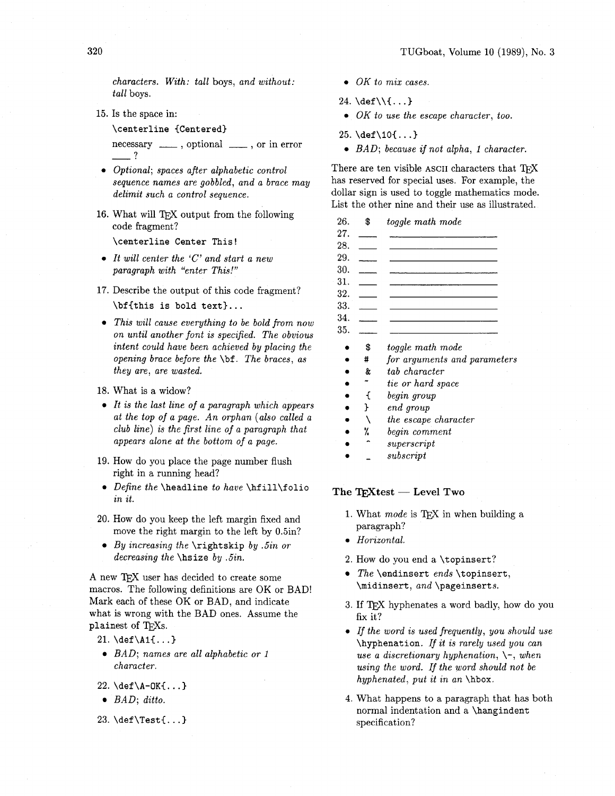*characters. With: tall* boys, *and without: tall* boys.

Is the space in:

**\centerline {Centered}** 

necessary  $\frac{1}{\sqrt{1-\frac{1}{n}}}$ , optional  $\frac{1}{\sqrt{1-\frac{1}{n}}}$ , or in error -?

- *Optional; spaces after alphabetic control sequence names are gobbled, and a brace may delimit such a control sequence.*
- 16. What will TEX output from the following code fragment?

**\centerline Center This!** 

- *It will center the 'C' and start a new paragraph with "enter This!"*
- 17. Describe the output of this code fragment? **\bf{this is bold text}** ...
- *This will cause everything to be bold from now on until another font is specified. The obvious intent could have been achieved by placing the opening brace before the* **\bf.** *The braces, as they are, are wasted.*
- What is a widow?
- *It is the last line of a paragraph which appears at the top of a page. An orphan (also called a club line) is the first line of a paragraph that appears alone at the bottom of a page.*
- 19. How do you place the page number flush right in a running head?
- *Define the* **\headline** *to have* **\hf ill\f olio**  *in it.*
- **20.** How do you keep the left margin fixed and move the right margin to the left by 0.5in?
- *By increasing the* **\rightskip** *by .5in or decreasing the* **\hsize** *by .5in.*

A new 'TEX user has decided to create some macros. The following definitions are OK or BAD! Mark each of these OK or BAD, and indicate what is wrong with the BAD ones. Assume the plainest of T<sub>F</sub>Xs.

- $21. \text{def}(A1\{... \})$
- *BAD; names are all alphabetic or 1 character.*
- 22.  $\det\A OK$ ...}
- *BAD; ditto.*
- 23. \def\Test{...}
- **0** *OK to mix cases.*
- **24. \def** \\{. . **.I**
- *0 OK to use the escape character, too.*
- **25. \def** \lo{. . **.I**
- **0** *BAD; because if not alpha, 1 character.*

There are ten visible ASCII characters that TFX has reserved for special uses. For example, the

| dollar sign is used to toggle mathematics mode.<br>List the other nine and their use as illustrated. |    |                              |
|------------------------------------------------------------------------------------------------------|----|------------------------------|
| 26.                                                                                                  | \$ | toggle math mode             |
| 27.                                                                                                  |    |                              |
| 28.                                                                                                  |    |                              |
| 29.                                                                                                  |    |                              |
| 30.                                                                                                  |    |                              |
| 31.                                                                                                  |    |                              |
| 32.                                                                                                  |    |                              |
| 33.                                                                                                  |    |                              |
| 34.                                                                                                  |    |                              |
| 35.                                                                                                  |    |                              |
|                                                                                                      | \$ | toggle math mode             |
|                                                                                                      | #  | for arguments and parameters |
|                                                                                                      | &  | tab character                |
|                                                                                                      |    | tie or hard space            |
|                                                                                                      |    | begin group                  |
|                                                                                                      |    | end group                    |

- *the escape character*  X
- *begin comment*  %
- *superscript*
- *subscript*

The TEXtest - Level Two

- 1. What *mode* is TFX in when building a paragraph?
- **0** *Horizontal.*
- **2.** How do you end a **\topinsert?**
- *The* **\endinsert** *ends* **\topinsert, \midinsert,** *and* **\pageinserts.**
- **3.** If T<sub>F</sub>X hyphenates a word badly, how do you fix it?
- **0** *If the word is used frequently, you should use*  **\hyphenation.** *If it is rarely used you can use a discretionary hyphenation,* \-, *when using the word. If the word should not be hyphenated, put it in an \hbox.*
- 4. What happens to a paragraph that has both normal indentation and a **\hangindent**  specification?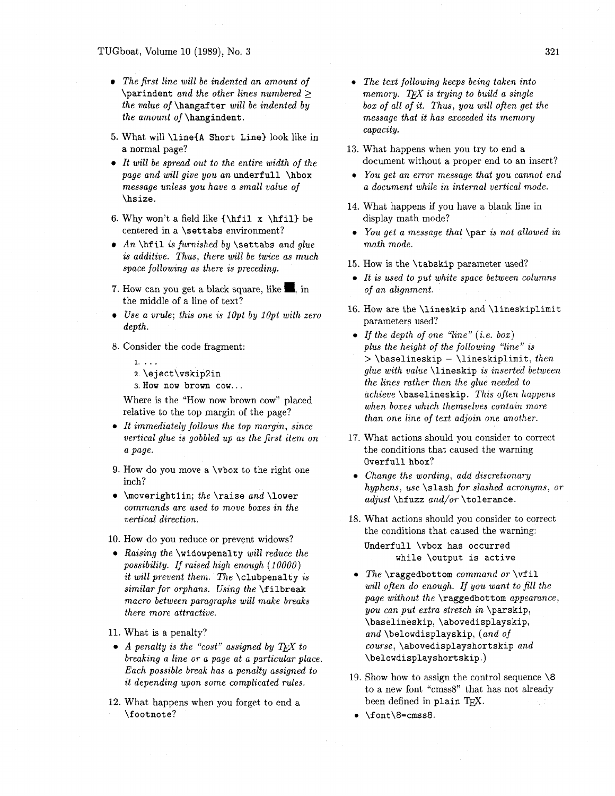#### TUGboat, Volume *10 (1989),* No. *3*

- *The first line will be indented an amount of*  **\parindent** *and the other lines numbered* 2 *the value of* **\hangafter** *will be indented by the amount of* **\hangindent.**
- 5. What will **\line(A Short Line)** look like in a normal page?
- *It will be spread out to the entire width of the page and will give you an* **underfull \hbox**  *message unless you have a small value of*  **\hs ize.**
- 6. Why won't a field like  $\{\hbox{ifil } x \hbox{ifil} be$ centered in a **\set tabs** environment?
- *An* **\hf il** *is furnished by* **\settabs** *and glue is additive. Thus, there will be twice as much space following as there is preceding.*
- **7.** How can you get a black square, like **m,** in the middle of a line of text?
- *Use a vrule; this one is IOpt by lOpt with zero depth.*
- *8.* Consider the code fragment:
	- **1.** ...
	- **2. \eject\vskip2in 3. How now brown COW..** .

Where is the "How now brown cow" placed relative to the top margin of the page?

- *It immediately follows the top margin, since vertical glue is gobbled up as the first item on a page.*
- *9.* How do you move a **\vbox** to the right one inch?
- **\moverightlin;** *the* **\raise** *and* **\lower**  *commands are used to move boxes in the vertical direction.*

10. How do you reduce or prevent widows?

- *Raising the* **\widowpenalty** *will reduce the possibility. If raised high enough (10000) it will prevent them. The* **\clubpenalty** *is similar for orphans. Using the* **\f ilbreak**  *macro between paragraphs will make breaks there more attractive.*
- *11.* What is a penalty?
- *A penalty is the "cost" assigned by*  $TEX$  *to breaking a line or a page at a particular place. Each possible break has a penalty assigned to it depending upon some complicated rules.*
- *12.* What happens when you forget to end a **\footnote?**
- **0** *The text following keeps being taken into memory.* TEX is trying to build a single *box of all of it. Thus, you will often get the message that it has exceeded its memory capacity.*
- *13.* What happens when you try to end a document without a proper end to an insert?
- **0** *You get an error message that you cannot end a document while in internal vertical mode.*
- *14.* What happens if you have a blank line in display math mode?
- **<sup>0</sup>***YOU get a message that* **\par** *is not allowed in math mode.*
- **15.** How is the **\tabskip** parameter used?
- **0** *It is used to put white space between columns of an alignment.*
- 16. How are the **\lineskip** and **\lineskiplimit**  parameters used?
- **0** *If the depth of one "line" (i.e. box) plus the height of the following "line" is*  <sup>&</sup>gt;**\baselineskip** - **\lineskiplimit,** *then glue with value* **\lineskip** *is inserted between the lines rather than the glue needed to achieve* **\baselineskip.** *This often happens when boxes which themselves contain more than one line of text adjoin one another.*
- **17.** What actions should you consider to correct the conditions that caused the warning **Overfull** hbox?
- **0** *Change the wording, add discretionary hyphens, use* **\slash** *for slashed acronyms, or adjust* **\hfuzz** *and/or* **\tolerance.**
- 18. What actions should you consider to correct the conditions that caused the warning: **Underfull \vbox has occurred while \output is active**
- **0** *The* **\raggedbottom** *command or* **\vf il**  *will often do enough. If you want to fill the page without the* **\raggedbottom** *appearance, you can put extra stretch in* **\parskip, \baselineskip, \abovedisplayskip,**  *and* **\belowdisplayskip,** *(and of course,* **\abovedisplayshortskip** *and*  **\belowdisplayshortskip.)**
- *19.* Show how to assign the control sequence **\8**  to a new font "crnss8" that has not already been defined in plain T<sub>E</sub>X.
- **0 \f ont\8=cmss8.**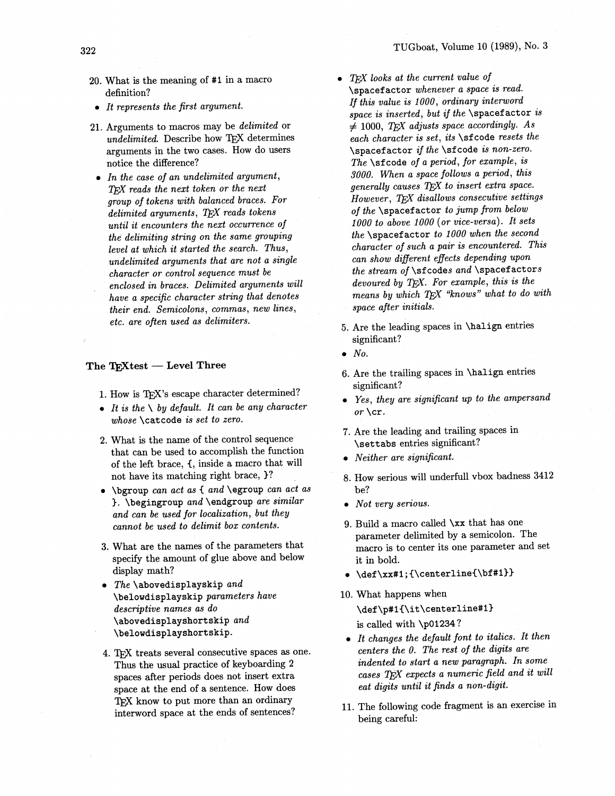- 322
	- 20. What is the meaning of #1 in a macro definition?
	- $\bullet$  It represents the first argument.
	- 21. Arguments to macros may be *delimited* or undelimited. Describe how TFX determines arguments in the two cases. How do users notice the difference?
	- $\bullet$  In the case of an undelimited argument, TFX reads the next token or the next group of tokens with balanced braces. For delimited arguments, TEX reads tokens until it encounters the next occurrence of the delimiting string on the same grouping level at which it started the search. Thus, undelimited arguments that are not a single character or control sequence must be enclosed in braces. Delimited arguments will have a specific character string that denotes their end. Semicolons, commas, new lines, etc. are often used as delimiters.

#### The TEXtest - Level Three

- 1. How is TEX's escape character determined?
- It is the  $\setminus$  by default. It can be any character whose \catcode is set to zero.
- 2. What is the name of the control sequence that can be used to accomplish the function of the left brace, {, inside a macro that will not have its matching right brace,  $\}$ ?
- . \bgroup can act as { and \egroup can act as }. \begingroup and \endgroup are similar and can be used for localization, but they cannot be used to delimit box contents.
- 3. What are the names of the parameters that specify the amount of glue above and below display math?
- The \abovedisplayskip and \belowdisplayskip parameters have descriptive names as do  $\lambda$ abovedisplayshortskip and \belowdisplayshortskip.
- 4. TEX treats several consecutive spaces as one. Thus the usual practice of keyboarding 2 spaces after periods does not insert extra space at the end of a sentence. How does To know to put more than an ordinary interword space at the ends of sentences?
- $\bullet$  T<sub>F</sub>X looks at the current value of Spacefactor whenever a space is read. If this value is 1000, ordinary interword space is inserted, but if the \spacefactor is  $\neq$  1000, TEX adjusts space accordingly. As each character is set, its  $\setminus$  sfcode resets the \spacefactor if the \sfcode is non-zero. The \sfcode of a period, for example, is 3000. When a space follows a period, this generally causes TEX to insert extra space. However, TFX disallows consecutive settings of the *Spacefactor* to jump from below 1000 to above 1000 (or vice-versa). It sets the \spacefactor to 1000 when the second character of such a pair is encountered. This can show different effects depending upon the stream of \sfcodes and \spacefactors devoured by TEX. For example, this is the means by which TEX "knows" what to do with space after initials.
- 5. Are the leading spaces in *\halign* entries significant?
- $\bullet$  No.
- 6. Are the trailing spaces in \halign entries significant?
- Yes, they are significant up to the ampersand or  $\operatorname{cr.}$
- 7. Are the leading and trailing spaces in \settabs entries significant?
- $\bullet$  Neither are significant.
- 8. How serious will underfull vbox badness 3412 be?
- Not very serious.
- 9. Build a macro called  $\x$  that has one parameter delimited by a semicolon. The macro is to center its one parameter and set it in bold.
- \def\xx#1;{\centerline{\bf#1}}
- 10. What happens when
	- \def\p#1{\it\centerline#1} is called with \p01234?
	- It changes the default font to italics. It then centers the 0. The rest of the digits are indented to start a new paragraph. In some cases TEX expects a numeric field and it will eat digits until it finds a non-digit.
- 11. The following code fragment is an exercise in being careful: